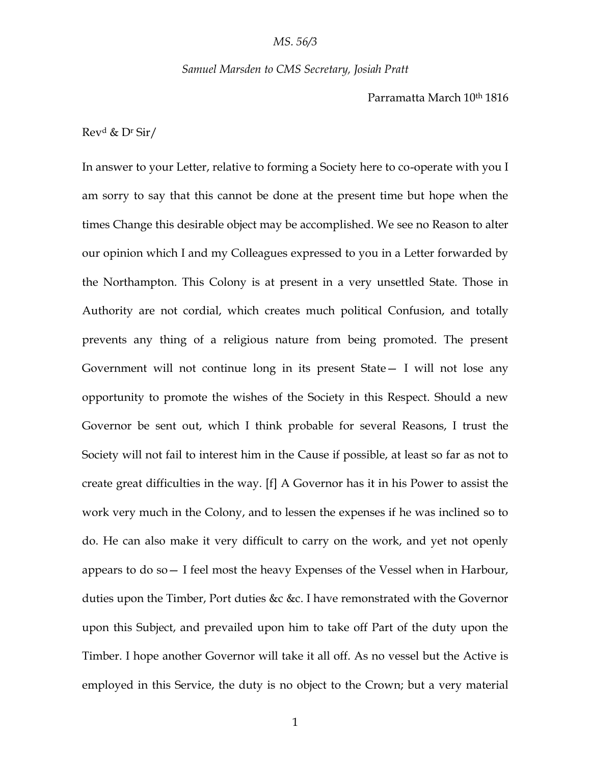#### *Samuel Marsden to CMS Secretary, Josiah Pratt*

Parramatta March 10th 1816

Rev<sup>d</sup> & D<sup>r</sup> Sir/

In answer to your Letter, relative to forming a Society here to co-operate with you I am sorry to say that this cannot be done at the present time but hope when the times Change this desirable object may be accomplished. We see no Reason to alter our opinion which I and my Colleagues expressed to you in a Letter forwarded by the Northampton. This Colony is at present in a very unsettled State. Those in Authority are not cordial, which creates much political Confusion, and totally prevents any thing of a religious nature from being promoted. The present Government will not continue long in its present State— I will not lose any opportunity to promote the wishes of the Society in this Respect. Should a new Governor be sent out, which I think probable for several Reasons, I trust the Society will not fail to interest him in the Cause if possible, at least so far as not to create great difficulties in the way. [f] A Governor has it in his Power to assist the work very much in the Colony, and to lessen the expenses if he was inclined so to do. He can also make it very difficult to carry on the work, and yet not openly appears to do so— I feel most the heavy Expenses of the Vessel when in Harbour, duties upon the Timber, Port duties &c &c. I have remonstrated with the Governor upon this Subject, and prevailed upon him to take off Part of the duty upon the Timber. I hope another Governor will take it all off. As no vessel but the Active is employed in this Service, the duty is no object to the Crown; but a very material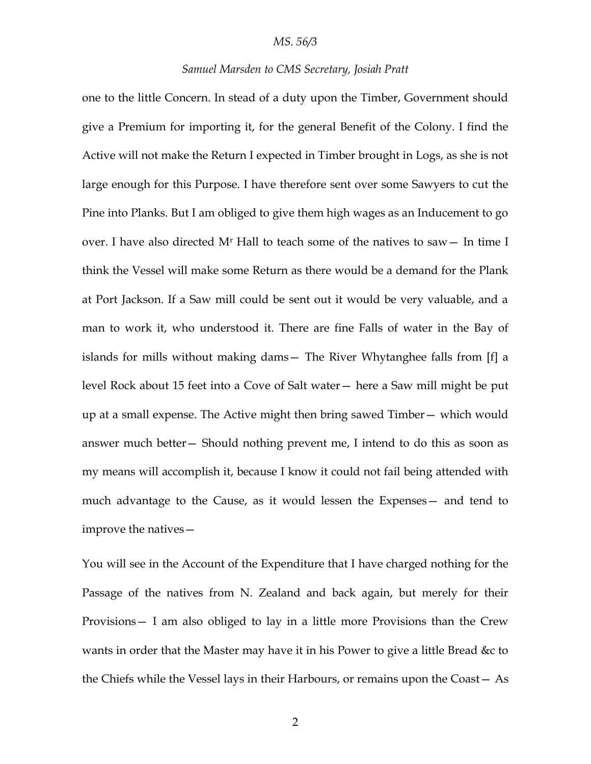## *Samuel Marsden to CMS Secretary, Josiah Pratt*

one to the little Concern. In stead of a duty upon the Timber, Government should give a Premium for importing it, for the general Benefit of the Colony. I find the Active will not make the Return I expected in Timber brought in Logs, as she is not large enough for this Purpose. I have therefore sent over some Sawyers to cut the Pine into Planks. But I am obliged to give them high wages as an Inducement to go over. I have also directed M<sup>r</sup> Hall to teach some of the natives to saw— In time I think the Vessel will make some Return as there would be a demand for the Plank at Port Jackson. If a Saw mill could be sent out it would be very valuable, and a man to work it, who understood it. There are fine Falls of water in the Bay of islands for mills without making dams— The River Whytanghee falls from [f] a level Rock about 15 feet into a Cove of Salt water— here a Saw mill might be put up at a small expense. The Active might then bring sawed Timber— which would answer much better— Should nothing prevent me, I intend to do this as soon as my means will accomplish it, because I know it could not fail being attended with much advantage to the Cause, as it would lessen the Expenses— and tend to improve the natives—

You will see in the Account of the Expenditure that I have charged nothing for the Passage of the natives from N. Zealand and back again, but merely for their Provisions— I am also obliged to lay in a little more Provisions than the Crew wants in order that the Master may have it in his Power to give a little Bread &c to the Chiefs while the Vessel lays in their Harbours, or remains upon the Coast— As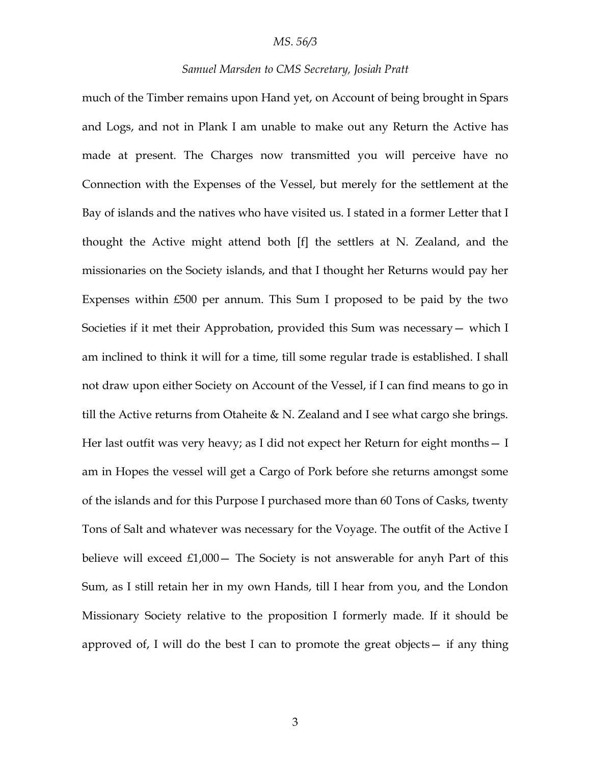## *Samuel Marsden to CMS Secretary, Josiah Pratt*

much of the Timber remains upon Hand yet, on Account of being brought in Spars and Logs, and not in Plank I am unable to make out any Return the Active has made at present. The Charges now transmitted you will perceive have no Connection with the Expenses of the Vessel, but merely for the settlement at the Bay of islands and the natives who have visited us. I stated in a former Letter that I thought the Active might attend both [f] the settlers at N. Zealand, and the missionaries on the Society islands, and that I thought her Returns would pay her Expenses within £500 per annum. This Sum I proposed to be paid by the two Societies if it met their Approbation, provided this Sum was necessary— which I am inclined to think it will for a time, till some regular trade is established. I shall not draw upon either Society on Account of the Vessel, if I can find means to go in till the Active returns from Otaheite & N. Zealand and I see what cargo she brings. Her last outfit was very heavy; as I did not expect her Return for eight months— I am in Hopes the vessel will get a Cargo of Pork before she returns amongst some of the islands and for this Purpose I purchased more than 60 Tons of Casks, twenty Tons of Salt and whatever was necessary for the Voyage. The outfit of the Active I believe will exceed  $£1,000-$  The Society is not answerable for anyh Part of this Sum, as I still retain her in my own Hands, till I hear from you, and the London Missionary Society relative to the proposition I formerly made. If it should be approved of, I will do the best I can to promote the great objects— if any thing